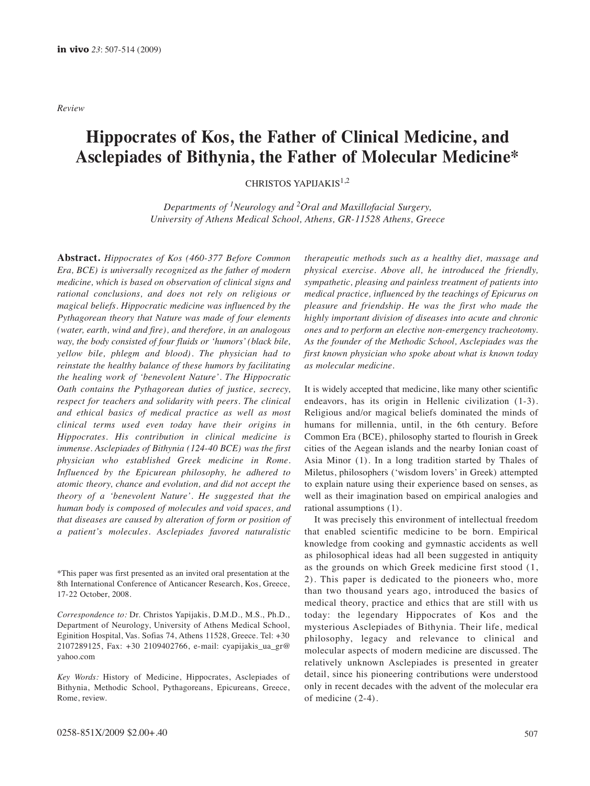*Review*

# **Hippocrates of Kos, the Father of Clinical Medicine, and Asclepiades of Bithynia, the Father of Molecular Medicine\***

CHRISTOS YAPIJAKIS1,2

*Departments of 1Neurology and 2Oral and Maxillofacial Surgery, University of Athens Medical School, Athens, GR-11528 Athens, Greece*

**Abstract.** *Hippocrates of Kos (460-377 Before Common Era, BCE) is universally recognized as the father of modern medicine, which is based on observation of clinical signs and rational conclusions, and does not rely on religious or magical beliefs. Hippocratic medicine was influenced by the Pythagorean theory that Nature was made of four elements (water, earth, wind and fire), and therefore, in an analogous way, the body consisted of four fluids or 'humors' (black bile, yellow bile, phlegm and blood). The physician had to reinstate the healthy balance of these humors by facilitating the healing work of 'benevolent Nature'. The Hippocratic Oath contains the Pythagorean duties of justice, secrecy, respect for teachers and solidarity with peers. The clinical and ethical basics of medical practice as well as most clinical terms used even today have their origins in Hippocrates. His contribution in clinical medicine is immense. Asclepiades of Bithynia (124-40 BCE) was the first physician who established Greek medicine in Rome. Influenced by the Epicurean philosophy, he adhered to atomic theory, chance and evolution, and did not accept the theory of a 'benevolent Nature'. He suggested that the human body is composed of molecules and void spaces, and that diseases are caused by alteration of form or position of a patient's molecules. Asclepiades favored naturalistic*

*therapeutic methods such as a healthy diet, massage and physical exercise. Above all, he introduced the friendly, sympathetic, pleasing and painless treatment of patients into medical practice, influenced by the teachings of Epicurus on pleasure and friendship. He was the first who made the highly important division of diseases into acute and chronic ones and to perform an elective non-emergency tracheotomy. As the founder of the Methodic School, Asclepiades was the first known physician who spoke about what is known today as molecular medicine.*

It is widely accepted that medicine, like many other scientific endeavors, has its origin in Hellenic civilization (1-3). Religious and/or magical beliefs dominated the minds of humans for millennia, until, in the 6th century. Before Common Era (BCE), philosophy started to flourish in Greek cities of the Aegean islands and the nearby Ionian coast of Asia Minor (1). In a long tradition started by Thales of Miletus, philosophers ('wisdom lovers' in Greek) attempted to explain nature using their experience based on senses, as well as their imagination based on empirical analogies and rational assumptions (1).

It was precisely this environment of intellectual freedom that enabled scientific medicine to be born. Empirical knowledge from cooking and gymnastic accidents as well as philosophical ideas had all been suggested in antiquity as the grounds on which Greek medicine first stood (1, 2). This paper is dedicated to the pioneers who, more than two thousand years ago, introduced the basics of medical theory, practice and ethics that are still with us today: the legendary Hippocrates of Kos and the mysterious Asclepiades of Bithynia. Their life, medical philosophy, legacy and relevance to clinical and molecular aspects of modern medicine are discussed. The relatively unknown Asclepiades is presented in greater detail, since his pioneering contributions were understood only in recent decades with the advent of the molecular era of medicine (2-4).

<sup>\*</sup>This paper was first presented as an invited oral presentation at the 8th International Conference of Anticancer Research, Kos, Greece, 17-22 October, 2008.

*Correspondence to:* Dr. Christos Yapijakis, D.M.D., M.S., Ph.D., Department of Neurology, University of Athens Medical School, Eginition Hospital, Vas. Sofias 74, Athens 11528, Greece. Tel: +30 2107289125, Fax: +30 2109402766, e-mail: cyapijakis\_ua\_gr@ yahoo.com

*Key Words:* History of Medicine, Hippocrates, Asclepiades of Bithynia, Methodic School, Pythagoreans, Epicureans, Greece, Rome, review.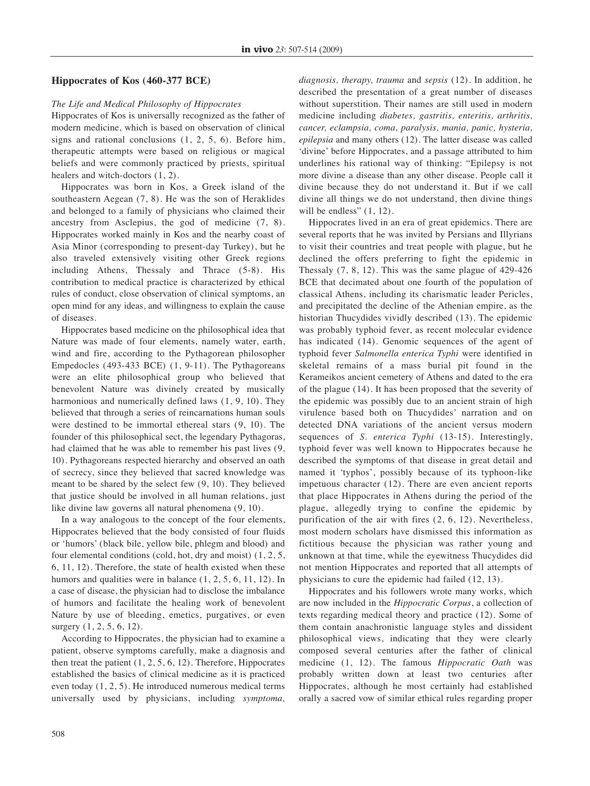# **Hippocrates of Kos (460-377 BCE)**

# *The Life and Medical Philosophy of Hippocrates*

Hippocrates of Kos is universally recognized as the father of modern medicine, which is based on observation of clinical signs and rational conclusions (1, 2, 5, 6). Before him, therapeutic attempts were based on religious or magical beliefs and were commonly practiced by priests, spiritual healers and witch-doctors (1, 2).

Hippocrates was born in Kos, a Greek island of the southeastern Aegean (7, 8). He was the son of Heraklides and belonged to a family of physicians who claimed their ancestry from Asclepius, the god of medicine (7, 8). Hippocrates worked mainly in Kos and the nearby coast of Asia Minor (corresponding to present-day Turkey), but he also traveled extensively visiting other Greek regions including Athens, Thessaly and Thrace (5-8). His contribution to medical practice is characterized by ethical rules of conduct, close observation of clinical symptoms, an open mind for any ideas, and willingness to explain the cause of diseases.

Hippocrates based medicine on the philosophical idea that Nature was made of four elements, namely water, earth, wind and fire, according to the Pythagorean philosopher Empedocles (493-433 BCE) (1, 9-11). The Pythagoreans were an elite philosophical group who believed that benevolent Nature was divinely created by musically harmonious and numerically defined laws  $(1, 9, 10)$ . They believed that through a series of reincarnations human souls were destined to be immortal ethereal stars (9, 10). The founder of this philosophical sect, the legendary Pythagoras, had claimed that he was able to remember his past lives (9, 10). Pythagoreans respected hierarchy and observed an oath of secrecy, since they believed that sacred knowledge was meant to be shared by the select few (9, 10). They believed that justice should be involved in all human relations, just like divine law governs all natural phenomena (9, 10).

In a way analogous to the concept of the four elements, Hippocrates believed that the body consisted of four fluids or 'humors' (black bile, yellow bile, phlegm and blood) and four elemental conditions (cold, hot, dry and moist) (1, 2, 5, 6, 11, 12). Therefore, the state of health existed when these humors and qualities were in balance  $(1, 2, 5, 6, 11, 12)$ . In a case of disease, the physician had to disclose the imbalance of humors and facilitate the healing work of benevolent Nature by use of bleeding, emetics, purgatives, or even surgery  $(1, 2, 5, 6, 12)$ .

According to Hippocrates, the physician had to examine a patient, observe symptoms carefully, make a diagnosis and then treat the patient  $(1, 2, 5, 6, 12)$ . Therefore, Hippocrates established the basics of clinical medicine as it is practiced even today (1, 2, 5). He introduced numerous medical terms universally used by physicians, including *symptoma,* *diagnosis, therapy, trauma* and *sepsis* (12). In addition, he described the presentation of a great number of diseases without superstition. Their names are still used in modern medicine including *diabetes, gastritis, enteritis, arthritis, cancer, eclampsia, coma, paralysis, mania, panic, hysteria, epilepsia* and many others (12). The latter disease was called 'divine' before Hippocrates, and a passage attributed to him underlines his rational way of thinking: "Epilepsy is not more divine a disease than any other disease. People call it divine because they do not understand it. But if we call divine all things we do not understand, then divine things will be endless"  $(1, 12)$ .

Hippocrates lived in an era of great epidemics. There are several reports that he was invited by Persians and Illyrians to visit their countries and treat people with plague, but he declined the offers preferring to fight the epidemic in Thessaly (7, 8, 12). This was the same plague of 429-426 BCE that decimated about one fourth of the population of classical Athens, including its charismatic leader Pericles, and precipitated the decline of the Athenian empire, as the historian Thucydides vividly described (13). The epidemic was probably typhoid fever, as recent molecular evidence has indicated (14). Genomic sequences of the agent of typhoid fever *Salmonella enterica Typhi* were identified in skeletal remains of a mass burial pit found in the Kerameikos ancient cemetery of Athens and dated to the era of the plague (14). It has been proposed that the severity of the epidemic was possibly due to an ancient strain of high virulence based both on Thucydides' narration and on detected DNA variations of the ancient versus modern sequences of *S. enterica Typhi* (13-15). Interestingly, typhoid fever was well known to Hippocrates because he described the symptoms of that disease in great detail and named it 'typhos', possibly because of its typhoon-like impetuous character (12). There are even ancient reports that place Hippocrates in Athens during the period of the plague, allegedly trying to confine the epidemic by purification of the air with fires (2, 6, 12). Nevertheless, most modern scholars have dismissed this information as fictitious because the physician was rather young and unknown at that time, while the eyewitness Thucydides did not mention Hippocrates and reported that all attempts of physicians to cure the epidemic had failed (12, 13).

Hippocrates and his followers wrote many works, which are now included in the *Hippocratic Corpus*, a collection of texts regarding medical theory and practice (12). Some of them contain anachronistic language styles and dissident philosophical views, indicating that they were clearly composed several centuries after the father of clinical medicine (1, 12). The famous *Hippocratic Oath* was probably written down at least two centuries after Hippocrates, although he most certainly had established orally a sacred vow of similar ethical rules regarding proper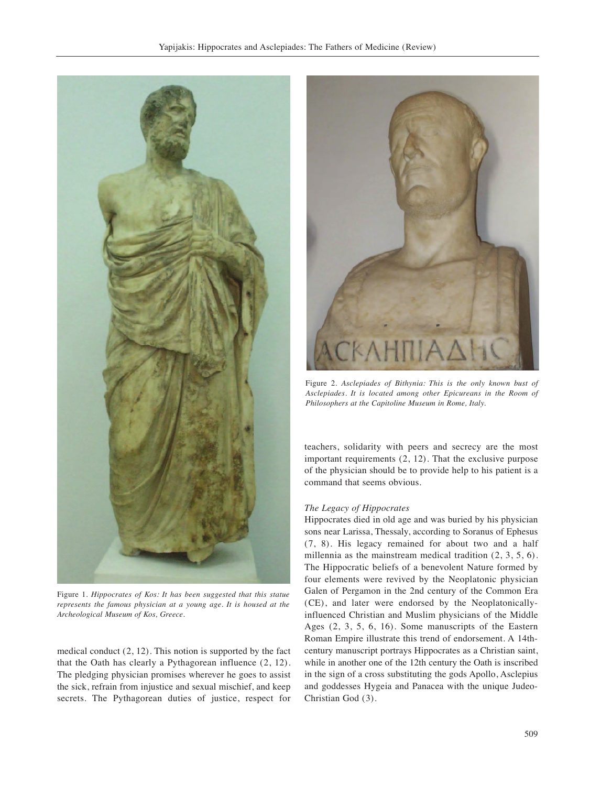

Figure 1. *Hippocrates of Kos: It has been suggested that this statue represents the famous physician at a young age. It is housed at the Archeological Museum of Kos, Greece.*

medical conduct (2, 12). This notion is supported by the fact that the Oath has clearly a Pythagorean influence (2, 12). The pledging physician promises wherever he goes to assist the sick, refrain from injustice and sexual mischief, and keep secrets. The Pythagorean duties of justice, respect for



Figure 2. *Asclepiades of Bithynia: This is the only known bust of Asclepiades. It is located among other Epicureans in the Room of Philosophers at the Capitoline Museum in Rome, Italy.* 

teachers, solidarity with peers and secrecy are the most important requirements (2, 12). That the exclusive purpose of the physician should be to provide help to his patient is a command that seems obvious.

## *The Legacy of Hippocrates*

Hippocrates died in old age and was buried by his physician sons near Larissa, Thessaly, according to Soranus of Ephesus (7, 8). His legacy remained for about two and a half millennia as the mainstream medical tradition (2, 3, 5, 6). The Hippocratic beliefs of a benevolent Nature formed by four elements were revived by the Neoplatonic physician Galen of Pergamon in the 2nd century of the Common Era (CE), and later were endorsed by the Neoplatonicallyinfluenced Christian and Muslim physicians of the Middle Ages (2, 3, 5, 6, 16). Some manuscripts of the Eastern Roman Empire illustrate this trend of endorsement. A 14thcentury manuscript portrays Hippocrates as a Christian saint, while in another one of the 12th century the Oath is inscribed in the sign of a cross substituting the gods Apollo, Asclepius and goddesses Hygeia and Panacea with the unique Judeo-Christian God (3).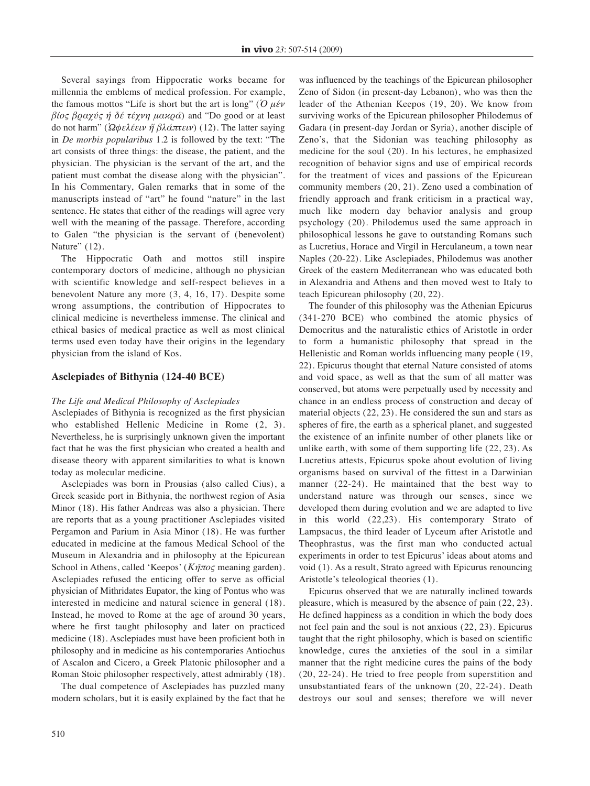Several sayings from Hippocratic works became for millennia the emblems of medical profession. For example, the famous mottos "Life is short but the art is long" (*Ὁ μέν βίος βραχύς ἡ δέ τέχνη μακρά*) and "Do good or at least do not harm" (*Ὠφελέειν ἤ βλάπτειν*) (12). The latter saying in *De morbis popularibus* 1.2 is followed by the text: "The art consists of three things: the disease, the patient, and the physician. The physician is the servant of the art, and the patient must combat the disease along with the physician". In his Commentary, Galen remarks that in some of the manuscripts instead of "art" he found "nature" in the last sentence. He states that either of the readings will agree very well with the meaning of the passage. Therefore, according to Galen "the physician is the servant of (benevolent) Nature" (12).

The Hippocratic Oath and mottos still inspire contemporary doctors of medicine, although no physician with scientific knowledge and self-respect believes in a benevolent Nature any more (3, 4, 16, 17). Despite some wrong assumptions, the contribution of Hippocrates to clinical medicine is nevertheless immense. The clinical and ethical basics of medical practice as well as most clinical terms used even today have their origins in the legendary physician from the island of Kos.

# **Asclepiades of Bithynia (124-40 BCE)**

## *The Life and Medical Philosophy of Asclepiades*

Asclepiades of Bithynia is recognized as the first physician who established Hellenic Medicine in Rome (2, 3). Nevertheless, he is surprisingly unknown given the important fact that he was the first physician who created a health and disease theory with apparent similarities to what is known today as molecular medicine.

Asclepiades was born in Prousias (also called Cius), a Greek seaside port in Bithynia, the northwest region of Asia Minor (18). His father Andreas was also a physician. There are reports that as a young practitioner Asclepiades visited Pergamon and Parium in Asia Minor (18). He was further educated in medicine at the famous Medical School of the Museum in Alexandria and in philosophy at the Epicurean School in Athens, called 'Keepos' (*Κῆπος* meaning garden). Asclepiades refused the enticing offer to serve as official physician of Mithridates Eupator, the king of Pontus who was interested in medicine and natural science in general (18). Instead, he moved to Rome at the age of around 30 years, where he first taught philosophy and later on practiced medicine (18). Asclepiades must have been proficient both in philosophy and in medicine as his contemporaries Antiochus of Ascalon and Cicero, a Greek Platonic philosopher and a Roman Stoic philosopher respectively, attest admirably (18).

The dual competence of Asclepiades has puzzled many modern scholars, but it is easily explained by the fact that he was influenced by the teachings of the Epicurean philosopher Zeno of Sidon (in present-day Lebanon), who was then the leader of the Athenian Keepos (19, 20). We know from surviving works of the Epicurean philosopher Philodemus of Gadara (in present-day Jordan or Syria), another disciple of Zeno's, that the Sidonian was teaching philosophy as medicine for the soul (20). In his lectures, he emphasized recognition of behavior signs and use of empirical records for the treatment of vices and passions of the Epicurean community members (20, 21). Zeno used a combination of friendly approach and frank criticism in a practical way, much like modern day behavior analysis and group psychology (20). Philodemus used the same approach in philosophical lessons he gave to outstanding Romans such as Lucretius, Horace and Virgil in Herculaneum, a town near Naples (20-22). Like Asclepiades, Philodemus was another Greek of the eastern Mediterranean who was educated both in Alexandria and Athens and then moved west to Italy to teach Epicurean philosophy (20, 22).

The founder of this philosophy was the Athenian Epicurus (341-270 BCE) who combined the atomic physics of Democritus and the naturalistic ethics of Aristotle in order to form a humanistic philosophy that spread in the Hellenistic and Roman worlds influencing many people (19, 22). Epicurus thought that eternal Nature consisted of atoms and void space, as well as that the sum of all matter was conserved, but atoms were perpetually used by necessity and chance in an endless process of construction and decay of material objects (22, 23). He considered the sun and stars as spheres of fire, the earth as a spherical planet, and suggested the existence of an infinite number of other planets like or unlike earth, with some of them supporting life (22, 23). As Lucretius attests, Epicurus spoke about evolution of living organisms based on survival of the fittest in a Darwinian manner (22-24). He maintained that the best way to understand nature was through our senses, since we developed them during evolution and we are adapted to live in this world (22,23). His contemporary Strato of Lampsacus, the third leader of Lyceum after Aristotle and Theophrastus, was the first man who conducted actual experiments in order to test Epicurus' ideas about atoms and void (1). As a result, Strato agreed with Epicurus renouncing Aristotle's teleological theories (1).

Epicurus observed that we are naturally inclined towards pleasure, which is measured by the absence of pain (22, 23). He defined happiness as a condition in which the body does not feel pain and the soul is not anxious (22, 23). Epicurus taught that the right philosophy, which is based on scientific knowledge, cures the anxieties of the soul in a similar manner that the right medicine cures the pains of the body (20, 22-24). He tried to free people from superstition and unsubstantiated fears of the unknown (20, 22-24). Death destroys our soul and senses; therefore we will never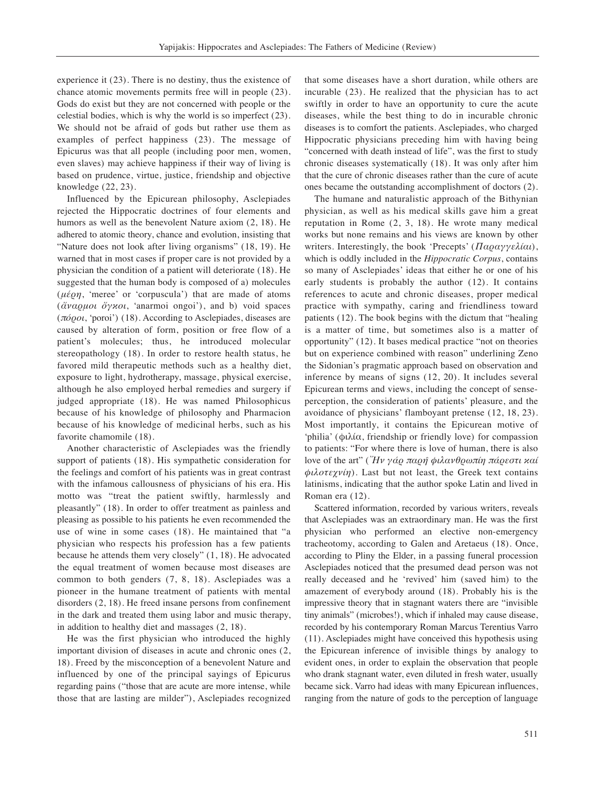experience it (23). There is no destiny, thus the existence of chance atomic movements permits free will in people (23). Gods do exist but they are not concerned with people or the celestial bodies, which is why the world is so imperfect (23). We should not be afraid of gods but rather use them as examples of perfect happiness (23). The message of Epicurus was that all people (including poor men, women, even slaves) may achieve happiness if their way of living is based on prudence, virtue, justice, friendship and objective knowledge (22, 23).

Influenced by the Epicurean philosophy, Asclepiades rejected the Hippocratic doctrines of four elements and humors as well as the benevolent Nature axiom (2, 18). He adhered to atomic theory, chance and evolution, insisting that "Nature does not look after living organisms" (18, 19). He warned that in most cases if proper care is not provided by a physician the condition of a patient will deteriorate (18). He suggested that the human body is composed of a) molecules (*μέρη*, 'meree' or 'corpuscula') that are made of atoms (*ἄναρμοι ὄγκοι*, 'anarmoi ongoi'), and b) void spaces (*πόροι*, 'poroi') (18). According to Asclepiades, diseases are caused by alteration of form, position or free flow of a patient's molecules; thus, he introduced molecular stereopathology (18). In order to restore health status, he favored mild therapeutic methods such as a healthy diet, exposure to light, hydrotherapy, massage, physical exercise, although he also employed herbal remedies and surgery if judged appropriate (18). He was named Philosophicus because of his knowledge of philosophy and Pharmacion because of his knowledge of medicinal herbs, such as his favorite chamomile (18).

Another characteristic of Asclepiades was the friendly support of patients (18). His sympathetic consideration for the feelings and comfort of his patients was in great contrast with the infamous callousness of physicians of his era. His motto was "treat the patient swiftly, harmlessly and pleasantly" (18). In order to offer treatment as painless and pleasing as possible to his patients he even recommended the use of wine in some cases (18). He maintained that "a physician who respects his profession has a few patients because he attends them very closely" (1, 18). He advocated the equal treatment of women because most diseases are common to both genders (7, 8, 18). Asclepiades was a pioneer in the humane treatment of patients with mental disorders (2, 18). He freed insane persons from confinement in the dark and treated them using labor and music therapy, in addition to healthy diet and massages (2, 18).

He was the first physician who introduced the highly important division of diseases in acute and chronic ones (2, 18). Freed by the misconception of a benevolent Nature and influenced by one of the principal sayings of Epicurus regarding pains ("those that are acute are more intense, while those that are lasting are milder"), Asclepiades recognized that some diseases have a short duration, while others are incurable (23). He realized that the physician has to act swiftly in order to have an opportunity to cure the acute diseases, while the best thing to do in incurable chronic diseases is to comfort the patients. Asclepiades, who charged Hippocratic physicians preceding him with having being "concerned with death instead of life", was the first to study chronic diseases systematically (18). It was only after him that the cure of chronic diseases rather than the cure of acute ones became the outstanding accomplishment of doctors (2).

The humane and naturalistic approach of the Bithynian physician, as well as his medical skills gave him a great reputation in Rome (2, 3, 18). He wrote many medical works but none remains and his views are known by other writers. Interestingly, the book 'Precepts' (*Παραγγελίαι*), which is oddly included in the *Hippocratic Corpus*, contains so many of Asclepiades' ideas that either he or one of his early students is probably the author (12). It contains references to acute and chronic diseases, proper medical practice with sympathy, caring and friendliness toward patients (12). The book begins with the dictum that "healing is a matter of time, but sometimes also is a matter of opportunity" (12). It bases medical practice "not on theories but on experience combined with reason" underlining Zeno the Sidonian's pragmatic approach based on observation and inference by means of signs (12, 20). It includes several Epicurean terms and views, including the concept of senseperception, the consideration of patients' pleasure, and the avoidance of physicians' flamboyant pretense (12, 18, 23). Most importantly, it contains the Epicurean motive of 'philia' (φιλία, friendship or friendly love) for compassion to patients: "For where there is love of human, there is also love of the art" (*Ἤν γάρ παρῆ φιλανθρωπίη πάρεστι καί φιλοτεχνίη*). Last but not least, the Greek text contains latinisms, indicating that the author spoke Latin and lived in Roman era (12).

Scattered information, recorded by various writers, reveals that Asclepiades was an extraordinary man. He was the first physician who performed an elective non-emergency tracheotomy, according to Galen and Aretaeus (18). Once, according to Pliny the Elder, in a passing funeral procession Asclepiades noticed that the presumed dead person was not really deceased and he 'revived' him (saved him) to the amazement of everybody around (18). Probably his is the impressive theory that in stagnant waters there are "invisible tiny animals" (microbes!), which if inhaled may cause disease, recorded by his contemporary Roman Marcus Terentius Varro (11). Asclepiades might have conceived this hypothesis using the Epicurean inference of invisible things by analogy to evident ones, in order to explain the observation that people who drank stagnant water, even diluted in fresh water, usually became sick. Varro had ideas with many Epicurean influences, ranging from the nature of gods to the perception of language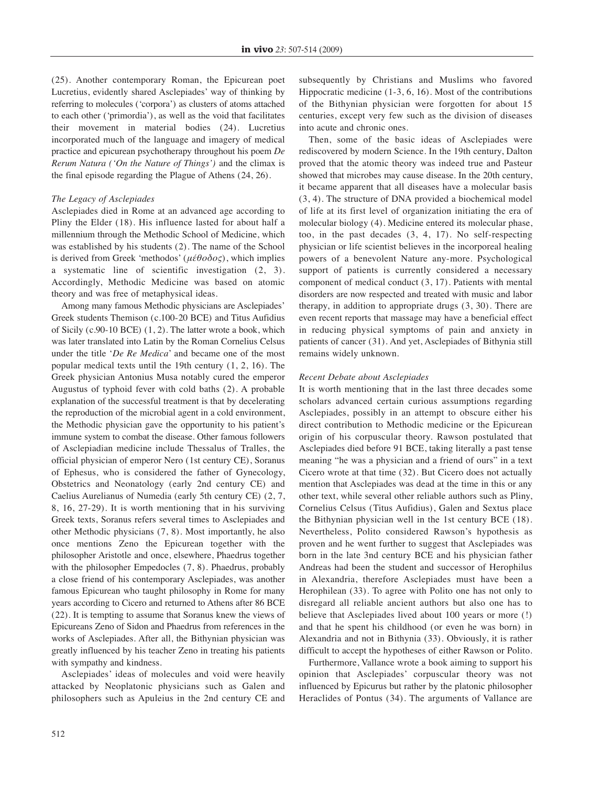(25). Another contemporary Roman, the Epicurean poet Lucretius, evidently shared Asclepiades' way of thinking by referring to molecules ('corpora') as clusters of atoms attached to each other ('primordia'), as well as the void that facilitates their movement in material bodies (24). Lucretius incorporated much of the language and imagery of medical practice and epicurean psychotherapy throughout his poem *De Rerum Natura ('On the Nature of Things')* and the climax is the final episode regarding the Plague of Athens (24, 26).

# *The Legacy of Asclepiades*

Asclepiades died in Rome at an advanced age according to Pliny the Elder (18). His influence lasted for about half a millennium through the Methodic School of Medicine, which was established by his students (2). The name of the School is derived from Greek 'methodos' (*μέθοδος*), which implies a systematic line of scientific investigation (2, 3). Accordingly, Methodic Medicine was based on atomic theory and was free of metaphysical ideas.

Among many famous Methodic physicians are Asclepiades' Greek students Themison (c.100-20 BCE) and Titus Aufidius of Sicily (c.90-10 BCE) (1, 2). The latter wrote a book, which was later translated into Latin by the Roman Cornelius Celsus under the title '*De Re Medica*' and became one of the most popular medical texts until the 19th century (1, 2, 16). The Greek physician Antonius Musa notably cured the emperor Augustus of typhoid fever with cold baths (2). A probable explanation of the successful treatment is that by decelerating the reproduction of the microbial agent in a cold environment, the Methodic physician gave the opportunity to his patient's immune system to combat the disease. Other famous followers of Asclepiadian medicine include Thessalus of Tralles, the official physician of emperor Nero (1st century CE), Soranus of Ephesus, who is considered the father of Gynecology, Obstetrics and Neonatology (early 2nd century CE) and Caelius Aurelianus of Numedia (early 5th century CE) (2, 7, 8, 16, 27-29). It is worth mentioning that in his surviving Greek texts, Soranus refers several times to Asclepiades and other Methodic physicians (7, 8). Most importantly, he also once mentions Zeno the Epicurean together with the philosopher Aristotle and once, elsewhere, Phaedrus together with the philosopher Empedocles (7, 8). Phaedrus, probably a close friend of his contemporary Asclepiades, was another famous Epicurean who taught philosophy in Rome for many years according to Cicero and returned to Athens after 86 BCE (22). It is tempting to assume that Soranus knew the views of Epicureans Zeno of Sidon and Phaedrus from references in the works of Asclepiades. After all, the Bithynian physician was greatly influenced by his teacher Zeno in treating his patients with sympathy and kindness.

Asclepiades' ideas of molecules and void were heavily attacked by Neoplatonic physicians such as Galen and philosophers such as Apuleius in the 2nd century CE and subsequently by Christians and Muslims who favored Hippocratic medicine (1-3, 6, 16). Most of the contributions of the Bithynian physician were forgotten for about 15 centuries, except very few such as the division of diseases into acute and chronic ones.

Then, some of the basic ideas of Asclepiades were rediscovered by modern Science. In the 19th century, Dalton proved that the atomic theory was indeed true and Pasteur showed that microbes may cause disease. In the 20th century, it became apparent that all diseases have a molecular basis (3, 4). The structure of DNA provided a biochemical model of life at its first level of organization initiating the era of molecular biology (4). Medicine entered its molecular phase, too, in the past decades (3, 4, 17). No self-respecting physician or life scientist believes in the incorporeal healing powers of a benevolent Nature any-more. Psychological support of patients is currently considered a necessary component of medical conduct (3, 17). Patients with mental disorders are now respected and treated with music and labor therapy, in addition to appropriate drugs (3, 30). There are even recent reports that massage may have a beneficial effect in reducing physical symptoms of pain and anxiety in patients of cancer (31). And yet, Asclepiades of Bithynia still remains widely unknown.

#### *Recent Debate about Asclepiades*

It is worth mentioning that in the last three decades some scholars advanced certain curious assumptions regarding Asclepiades, possibly in an attempt to obscure either his direct contribution to Methodic medicine or the Epicurean origin of his corpuscular theory. Rawson postulated that Asclepiades died before 91 BCE, taking literally a past tense meaning "he was a physician and a friend of ours" in a text Cicero wrote at that time (32). But Cicero does not actually mention that Asclepiades was dead at the time in this or any other text, while several other reliable authors such as Pliny, Cornelius Celsus (Titus Aufidius), Galen and Sextus place the Bithynian physician well in the 1st century BCE (18). Nevertheless, Polito considered Rawson's hypothesis as proven and he went further to suggest that Asclepiades was born in the late 3nd century BCE and his physician father Andreas had been the student and successor of Herophilus in Alexandria, therefore Asclepiades must have been a Herophilean (33). To agree with Polito one has not only to disregard all reliable ancient authors but also one has to believe that Asclepiades lived about 100 years or more (!) and that he spent his childhood (or even he was born) in Alexandria and not in Bithynia (33). Obviously, it is rather difficult to accept the hypotheses of either Rawson or Polito.

Furthermore, Vallance wrote a book aiming to support his opinion that Asclepiades' corpuscular theory was not influenced by Epicurus but rather by the platonic philosopher Heraclides of Pontus (34). The arguments of Vallance are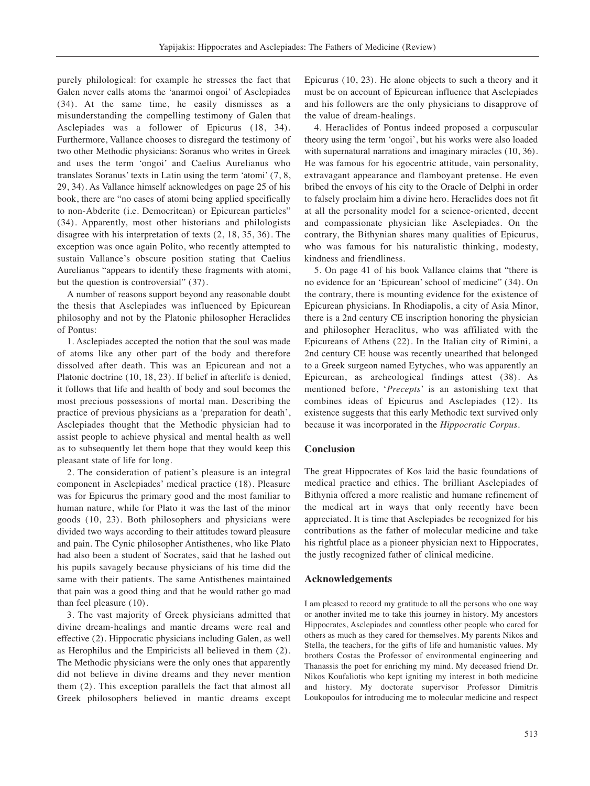purely philological: for example he stresses the fact that Galen never calls atoms the 'anarmoi ongoi' of Asclepiades (34). At the same time, he easily dismisses as a misunderstanding the compelling testimony of Galen that Asclepiades was a follower of Epicurus (18, 34). Furthermore, Vallance chooses to disregard the testimony of two other Methodic physicians: Soranus who writes in Greek and uses the term 'ongoi' and Caelius Aurelianus who translates Soranus' texts in Latin using the term 'atomi' (7, 8, 29, 34). As Vallance himself acknowledges on page 25 of his book, there are "no cases of atomi being applied specifically to non-Abderite (i.e. Democritean) or Epicurean particles" (34). Apparently, most other historians and philologists disagree with his interpretation of texts (2, 18, 35, 36). The exception was once again Polito, who recently attempted to sustain Vallance's obscure position stating that Caelius Aurelianus "appears to identify these fragments with atomi, but the question is controversial" (37).

A number of reasons support beyond any reasonable doubt the thesis that Asclepiades was influenced by Epicurean philosophy and not by the Platonic philosopher Heraclides of Pontus:

1. Asclepiades accepted the notion that the soul was made of atoms like any other part of the body and therefore dissolved after death. This was an Epicurean and not a Platonic doctrine (10, 18, 23). If belief in afterlife is denied, it follows that life and health of body and soul becomes the most precious possessions of mortal man. Describing the practice of previous physicians as a 'preparation for death', Asclepiades thought that the Methodic physician had to assist people to achieve physical and mental health as well as to subsequently let them hope that they would keep this pleasant state of life for long.

2. The consideration of patient's pleasure is an integral component in Asclepiades' medical practice (18). Pleasure was for Epicurus the primary good and the most familiar to human nature, while for Plato it was the last of the minor goods (10, 23). Both philosophers and physicians were divided two ways according to their attitudes toward pleasure and pain. The Cynic philosopher Antisthenes, who like Plato had also been a student of Socrates, said that he lashed out his pupils savagely because physicians of his time did the same with their patients. The same Antisthenes maintained that pain was a good thing and that he would rather go mad than feel pleasure (10).

3. The vast majority of Greek physicians admitted that divine dream-healings and mantic dreams were real and effective (2). Hippocratic physicians including Galen, as well as Herophilus and the Empiricists all believed in them (2). The Methodic physicians were the only ones that apparently did not believe in divine dreams and they never mention them (2). This exception parallels the fact that almost all Greek philosophers believed in mantic dreams except Epicurus (10, 23). He alone objects to such a theory and it must be on account of Epicurean influence that Asclepiades and his followers are the only physicians to disapprove of the value of dream-healings.

4. Heraclides of Pontus indeed proposed a corpuscular theory using the term 'ongoi', but his works were also loaded with supernatural narrations and imaginary miracles (10, 36). He was famous for his egocentric attitude, vain personality, extravagant appearance and flamboyant pretense. He even bribed the envoys of his city to the Oracle of Delphi in order to falsely proclaim him a divine hero. Heraclides does not fit at all the personality model for a science-oriented, decent and compassionate physician like Asclepiades. On the contrary, the Bithynian shares many qualities of Epicurus, who was famous for his naturalistic thinking, modesty, kindness and friendliness.

5. On page 41 of his book Vallance claims that "there is no evidence for an 'Epicurean' school of medicine" (34). On the contrary, there is mounting evidence for the existence of Epicurean physicians. In Rhodiapolis, a city of Asia Minor, there is a 2nd century CE inscription honoring the physician and philosopher Heraclitus, who was affiliated with the Epicureans of Athens (22). In the Italian city of Rimini, a 2nd century CE house was recently unearthed that belonged to a Greek surgeon named Eytyches, who was apparently an Epicurean, as archeological findings attest (38). As mentioned before, '*Precepts*' is an astonishing text that combines ideas of Epicurus and Asclepiades (12). Its existence suggests that this early Methodic text survived only because it was incorporated in the *Hippocratic Corpus*.

# **Conclusion**

The great Hippocrates of Kos laid the basic foundations of medical practice and ethics. The brilliant Asclepiades of Bithynia offered a more realistic and humane refinement of the medical art in ways that only recently have been appreciated. It is time that Asclepiades be recognized for his contributions as the father of molecular medicine and take his rightful place as a pioneer physician next to Hippocrates, the justly recognized father of clinical medicine.

## **Acknowledgements**

I am pleased to record my gratitude to all the persons who one way or another invited me to take this journey in history. My ancestors Hippocrates, Asclepiades and countless other people who cared for others as much as they cared for themselves. My parents Nikos and Stella, the teachers, for the gifts of life and humanistic values. My brothers Costas the Professor of environmental engineering and Thanassis the poet for enriching my mind. My deceased friend Dr. Nikos Koufaliotis who kept igniting my interest in both medicine and history. My doctorate supervisor Professor Dimitris Loukopoulos for introducing me to molecular medicine and respect